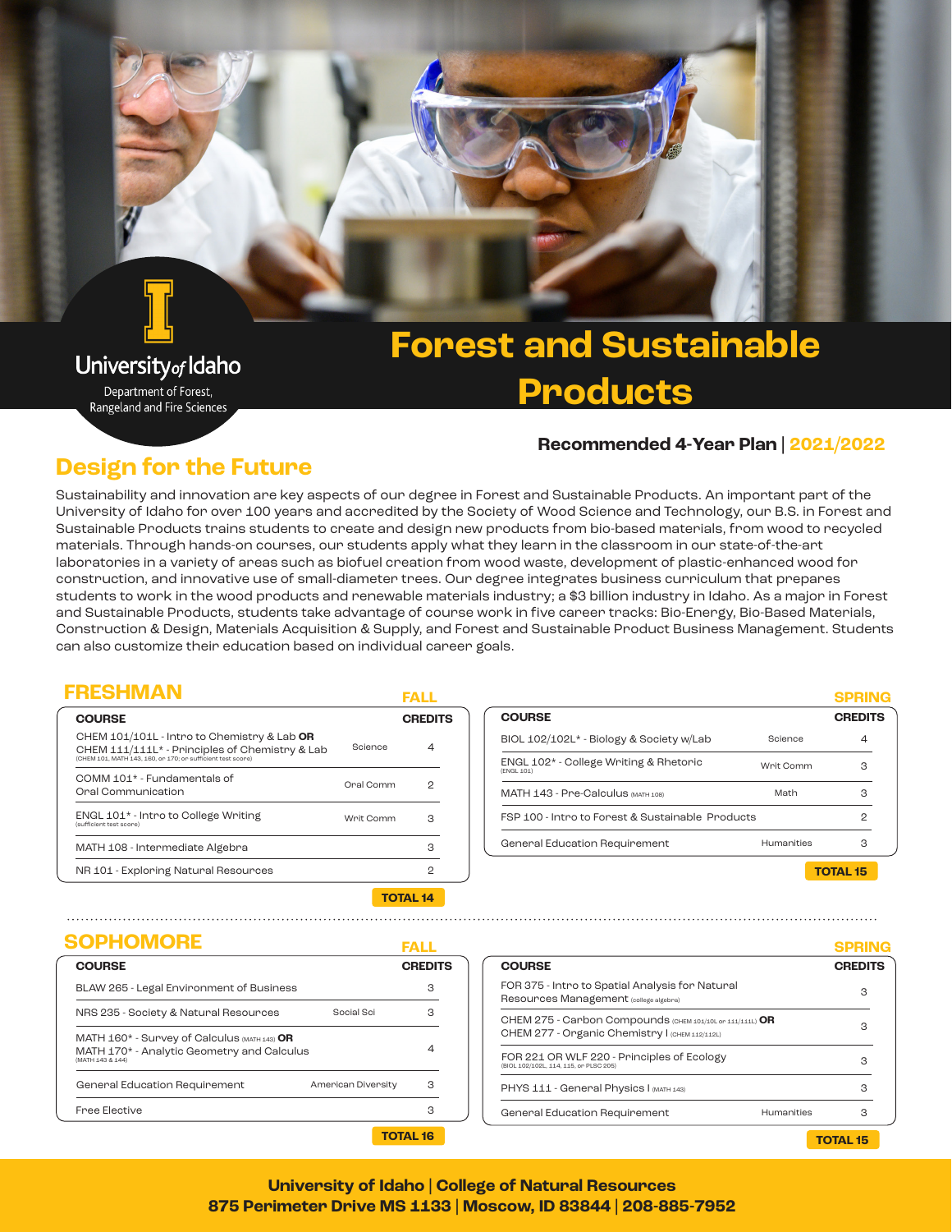# University<sub>of</sub> Idaho

Department of Forest, Rangeland and Fire Sciences

# **Forest and Sustainable Products**

#### **Recommended 4-Year Plan | 2021/2022**

## **Design for the Future**

Sustainability and innovation are key aspects of our degree in Forest and Sustainable Products. An important part of the University of Idaho for over 100 years and accredited by the Society of Wood Science and Technology, our B.S. in Forest and Sustainable Products trains students to create and design new products from bio-based materials, from wood to recycled materials. Through hands-on courses, our students apply what they learn in the classroom in our state-of-the-art laboratories in a variety of areas such as biofuel creation from wood waste, development of plastic-enhanced wood for construction, and innovative use of small-diameter trees. Our degree integrates business curriculum that prepares students to work in the wood products and renewable materials industry; a \$3 billion industry in Idaho. As a major in Forest and Sustainable Products, students take advantage of course work in five career tracks: Bio-Energy, Bio-Based Materials, Construction & Design, Materials Acquisition & Supply, and Forest and Sustainable Product Business Management. Students can also customize their education based on individual career goals.

### **FRESHMAN FALL**

| <b>COURSE</b>                                                                                                                                                            |           | <b>CREDITS</b> |  |
|--------------------------------------------------------------------------------------------------------------------------------------------------------------------------|-----------|----------------|--|
| CHEM 101/101L - Intro to Chemistry & Lab OR<br>CHEM 111/111L <sup>*</sup> - Principles of Chemistry & Lab<br>(CHEM 101, MATH 143, 160, or 170; or sufficient test score) | Science   | 4              |  |
| COMM 101* - Fundamentals of<br>Onal Communication                                                                                                                        | Oral Comm | 2              |  |
| ENGL 101 <sup>*</sup> - Intro to College Writing<br>(sufficient test score)                                                                                              | Writ Comm | з              |  |
| MATH 108 - Intermediate Algebra                                                                                                                                          |           | 3              |  |
| NR 101 - Exploring Natural Resources                                                                                                                                     |           | 2              |  |
| ------                                                                                                                                                                   |           |                |  |

|           |                |                                                                   | SPRING         |
|-----------|----------------|-------------------------------------------------------------------|----------------|
|           | <b>CREDITS</b> | <b>COURSE</b>                                                     | <b>CREDITS</b> |
| Science   | $\overline{4}$ | BIOL 102/102L* - Biology & Society w/Lab<br>Science               | 4              |
|           |                | ENGL 102* - College Writing & Rhetoric<br>Writ Comm<br>(ENGL 101) | з              |
| nal Comm  | 2              | MATH 143 - Pre-Calculus (MATH 108)<br>Math                        | з              |
| 'rit Comm | з              | FSP 100 - Intro to Forest & Sustainable Products                  |                |
|           | 3              | General Education Requirement<br><b>Humanities</b>                | з              |
|           |                |                                                                   | 2              |

**TOTAL 15**

**SPRING**

#### **TOTAL 14**

### **SOPHOMORE FALL**

|                                                                                                                    |                    | .              |
|--------------------------------------------------------------------------------------------------------------------|--------------------|----------------|
| <b>COURSE</b>                                                                                                      |                    | <b>CREDITS</b> |
| BLAW 265 - Legal Environment of Business                                                                           |                    | з              |
| NRS 235 - Society & Natural Resources                                                                              | Social Sci         | З              |
| MATH $160*$ - Survey of Calculus $(MATH 143)$ OR<br>MATH 170* - Analytic Geometry and Calculus<br>(MATH 143 & 144) |                    | 4              |
| General Education Requirement                                                                                      | American Diversity | з              |
| <b>Free Elective</b>                                                                                               |                    | з              |
|                                                                                                                    |                    | TOTAL 16       |

|                                                                                                             | -------        |
|-------------------------------------------------------------------------------------------------------------|----------------|
| <b>COURSE</b>                                                                                               | <b>CREDITS</b> |
| FOR 375 - Intro to Spatial Analysis for Natural<br>Resources Management (college algebra)                   | з              |
| CHEM 275 - Carbon Compounds (CHEM 101/10L or 111/111L) OR<br>CHEM 277 - Organic Chemistry I (CHEM 112/112L) | з              |
| FOR 221 OR WLF 220 - Principles of Ecology<br>(BIOL 102/102L, 114, 115, or PLSC 205)                        | з              |
| PHYS 111 - General Physics I (MATH 143)                                                                     | З              |
| <b>Humanities</b><br>General Education Requirement                                                          | З              |
|                                                                                                             | TOTAL 15       |

#### **University of Idaho | College of Natural Resources 875 Perimeter Drive MS 1133 | Moscow, ID 83844 | 208-885-7952**